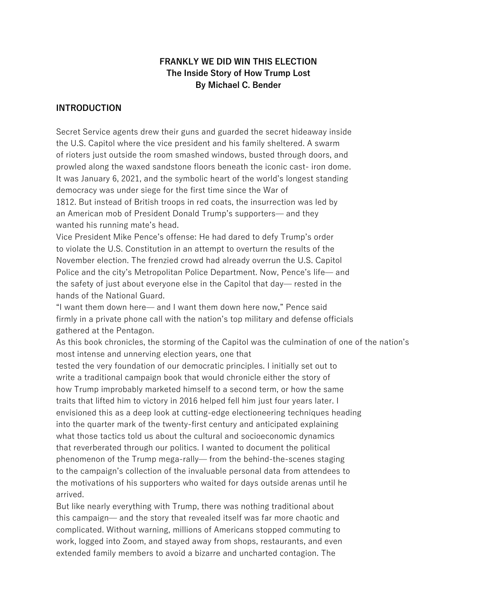## **FRANKLY WE DID WIN THIS ELECTION The Inside Story of How Trump Lost By Michael C. Bender**

## **INTRODUCTION**

Secret Service agents drew their guns and guarded the secret hideaway inside the U.S. Capitol where the vice president and his family sheltered. A swarm of rioters just outside the room smashed windows, busted through doors, and prowled along the waxed sandstone floors beneath the iconic cast- iron dome. It was January 6, 2021, and the symbolic heart of the world's longest standing democracy was under siege for the first time since the War of 1812. But instead of British troops in red coats, the insurrection was led by an American mob of President Donald Trump's supporters̶ and they

wanted his running mate's head.

Vice President Mike Pence's offense: He had dared to defy Trump's order to violate the U.S. Constitution in an attempt to overturn the results of the November election. The frenzied crowd had already overrun the U.S. Capitol Police and the city's Metropolitan Police Department. Now, Pence's life̶ and the safety of just about everyone else in the Capitol that day̶ rested in the hands of the National Guard.

"I want them down here̶ and I want them down here now," Pence said firmly in a private phone call with the nation's top military and defense officials gathered at the Pentagon.

As this book chronicles, the storming of the Capitol was the culmination of one of the nation's most intense and unnerving election years, one that

tested the very foundation of our democratic principles. I initially set out to write a traditional campaign book that would chronicle either the story of how Trump improbably marketed himself to a second term, or how the same traits that lifted him to victory in 2016 helped fell him just four years later. I envisioned this as a deep look at cutting-edge electioneering techniques heading into the quarter mark of the twenty-first century and anticipated explaining what those tactics told us about the cultural and socioeconomic dynamics that reverberated through our politics. I wanted to document the political phenomenon of the Trump mega-rally̶ from the behind-the-scenes staging to the campaign's collection of the invaluable personal data from attendees to the motivations of his supporters who waited for days outside arenas until he arrived.

But like nearly everything with Trump, there was nothing traditional about this campaign̶ and the story that revealed itself was far more chaotic and complicated. Without warning, millions of Americans stopped commuting to work, logged into Zoom, and stayed away from shops, restaurants, and even extended family members to avoid a bizarre and uncharted contagion. The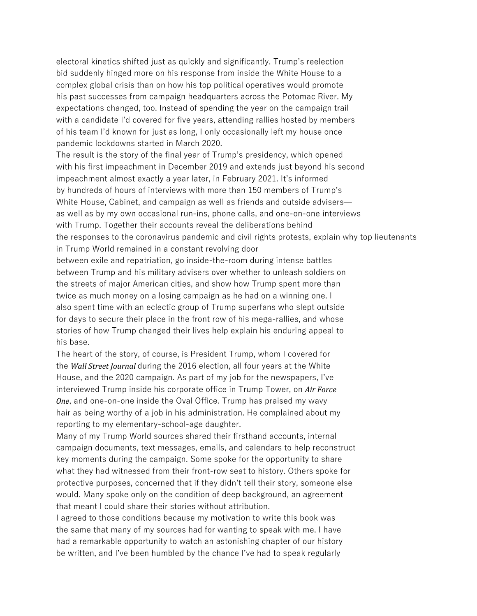electoral kinetics shifted just as quickly and significantly. Trump's reelection bid suddenly hinged more on his response from inside the White House to a complex global crisis than on how his top political operatives would promote his past successes from campaign headquarters across the Potomac River. My expectations changed, too. Instead of spending the year on the campaign trail with a candidate I'd covered for five years, attending rallies hosted by members of his team I'd known for just as long, I only occasionally left my house once pandemic lockdowns started in March 2020.

The result is the story of the final year of Trump's presidency, which opened with his first impeachment in December 2019 and extends just beyond his second impeachment almost exactly a year later, in February 2021. It's informed by hundreds of hours of interviews with more than 150 members of Trump's White House, Cabinet, and campaign as well as friends and outside advisers as well as by my own occasional run-ins, phone calls, and one-on-one interviews with Trump. Together their accounts reveal the deliberations behind the responses to the coronavirus pandemic and civil rights protests, explain why top lieutenants in Trump World remained in a constant revolving door between exile and repatriation, go inside-the-room during intense battles

between Trump and his military advisers over whether to unleash soldiers on the streets of major American cities, and show how Trump spent more than twice as much money on a losing campaign as he had on a winning one. I also spent time with an eclectic group of Trump superfans who slept outside for days to secure their place in the front row of his mega-rallies, and whose stories of how Trump changed their lives help explain his enduring appeal to his base.

The heart of the story, of course, is President Trump, whom I covered for the *Wall Street Journal* during the 2016 election, all four years at the White House, and the 2020 campaign. As part of my job for the newspapers, I've interviewed Trump inside his corporate office in Trump Tower, on Air Force *One*, and one-on-one inside the Oval Office. Trump has praised my wavy hair as being worthy of a job in his administration. He complained about my reporting to my elementary-school-age daughter.

Many of my Trump World sources shared their firsthand accounts, internal campaign documents, text messages, emails, and calendars to help reconstruct key moments during the campaign. Some spoke for the opportunity to share what they had witnessed from their front-row seat to history. Others spoke for protective purposes, concerned that if they didn't tell their story, someone else would. Many spoke only on the condition of deep background, an agreement that meant I could share their stories without attribution.

I agreed to those conditions because my motivation to write this book was the same that many of my sources had for wanting to speak with me. I have had a remarkable opportunity to watch an astonishing chapter of our history be written, and I've been humbled by the chance I've had to speak regularly